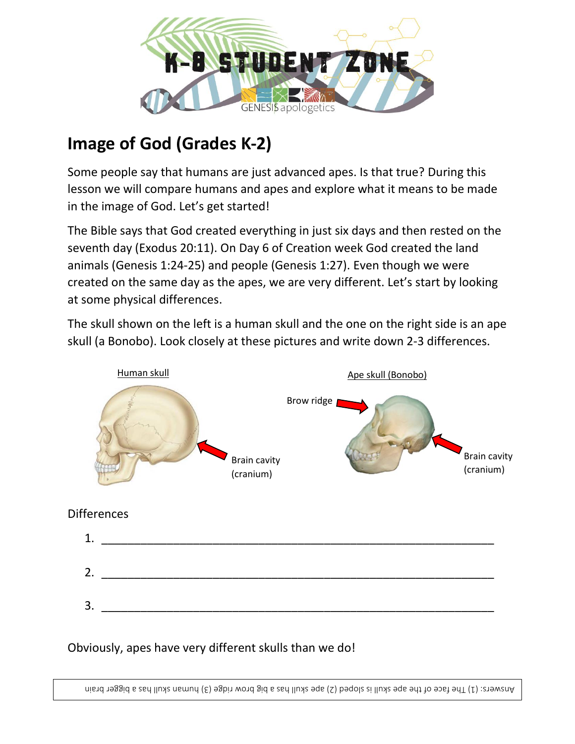

## **Image of God (Grades K-2)**

Some people say that humans are just advanced apes. Is that true? During this lesson we will compare humans and apes and explore what it means to be made in the image of God. Let's get started!

The Bible says that God created everything in just six days and then rested on the seventh day (Exodus 20:11). On Day 6 of Creation week God created the land animals (Genesis 1:24-25) and people (Genesis 1:27). Even though we were created on the same day as the apes, we are very different. Let's start by looking at some physical differences.

The skull shown on the left is a human skull and the one on the right side is an ape skull (a Bonobo). Look closely at these pictures and write down 2-3 differences.



## **Differences**

| 1. |  |
|----|--|
| 2. |  |
| 3. |  |

## Obviously, apes have very different skulls than we do!

Answers: (1) The face of the age skull is sloped (2) bage skull has a big brow ridge (5) human skall the facer brain  $\alpha$ 

cavity)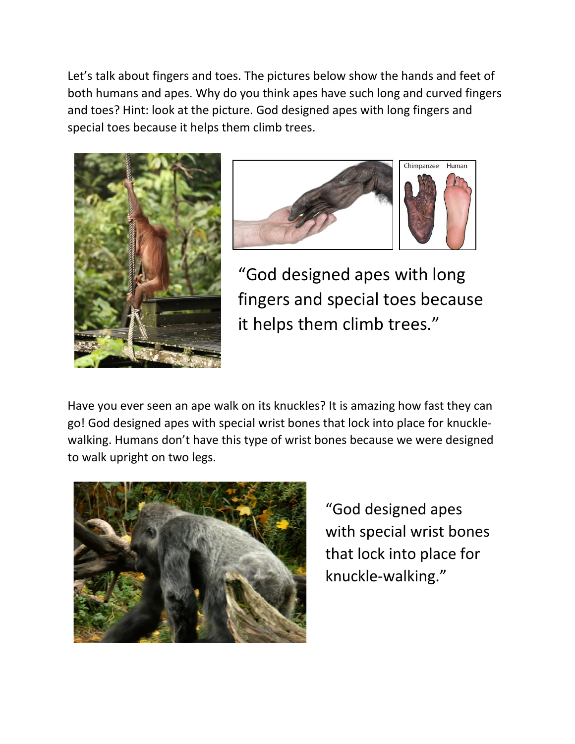Let's talk about fingers and toes. The pictures below show the hands and feet of both humans and apes. Why do you think apes have such long and curved fingers and toes? Hint: look at the picture. God designed apes with long fingers and special toes because it helps them climb trees.





"God designed apes with long fingers and special toes because it helps them climb trees."

Have you ever seen an ape walk on its knuckles? It is amazing how fast they can go! God designed apes with special wrist bones that lock into place for knucklewalking. Humans don't have this type of wrist bones because we were designed to walk upright on two legs.



"God designed apes with special wrist bones that lock into place for knuckle-walking."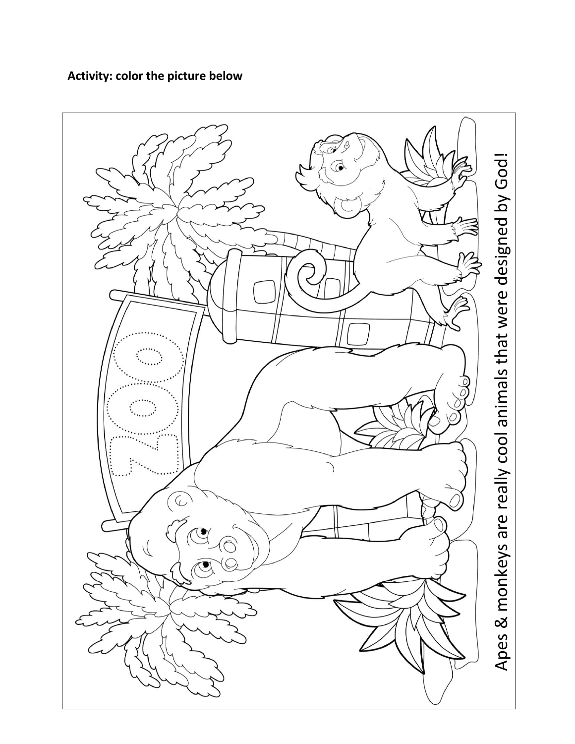**Activity: color the picture below**